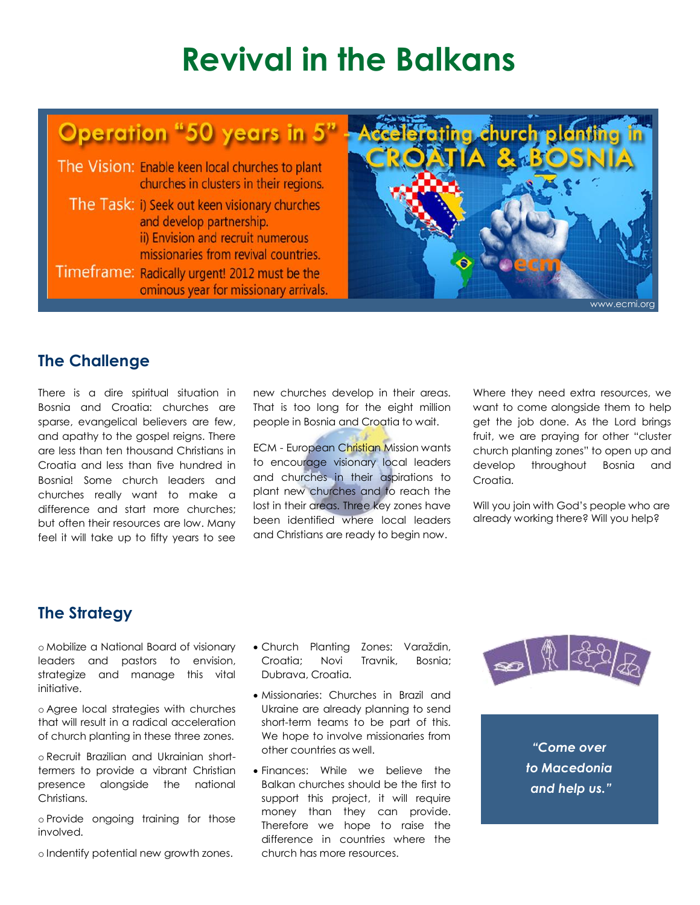# **Revival in the Balkans**

# Operation "50 years in 5"

The Vision: Enable keen local churches to plant churches in clusters in their regions. The Task: i) Seek out keen visionary churches and develop partnership. ii) Envision and recruit numerous missionaries from revival countries. Timeframe: Radically urgent! 2012 must be the ominous year for missionary arrivals.



# **The Challenge**

There is a dire spiritual situation in Bosnia and Croatia: churches are sparse, evangelical believers are few, and apathy to the gospel reigns. There are less than ten thousand Christians in Croatia and less than five hundred in Bosnia! Some church leaders and churches really want to make a difference and start more churches; but often their resources are low. Many feel it will take up to fifty years to see new churches develop in their areas. That is too long for the eight million people in Bosnia and Croatia to wait.

**ECM - European Christian Mission wants** to encourage visionary local leaders and churches in their aspirations to plant new churches and to reach the lost in their areas. Three key zones have been identified where local leaders and Christians are ready to begin now.

Where they need extra resources, we want to come alongside them to help get the job done. As the Lord brings fruit, we are praying for other "cluster church planting zones" to open up and develop throughout Bosnia and Croatia.

Will you join with God's people who are already working there? Will you help?

## **The Strategy**

o Mobilize a National Board of visionary leaders and pastors to envision, strategize and manage this vital initiative.

o Agree local strategies with churches that will result in a radical acceleration of church planting in these three zones.

o Recruit Brazilian and Ukrainian shorttermers to provide a vibrant Christian presence alongside the national Christians.

o Provide ongoing training for those involved.

o Indentify potential new growth zones.

- Church Planting Zones: Varaždin, Croatia; Novi Travnik, Bosnia; Dubrava, Croatia.
- Missionaries: Churches in Brazil and Ukraine are already planning to send short-term teams to be part of this. We hope to involve missionaries from other countries as well.
- Finances: While we believe the Balkan churches should be the first to support this project, it will require money than they can provide. Therefore we hope to raise the difference in countries where the church has more resources.



*"Come over to Macedonia and help us."*